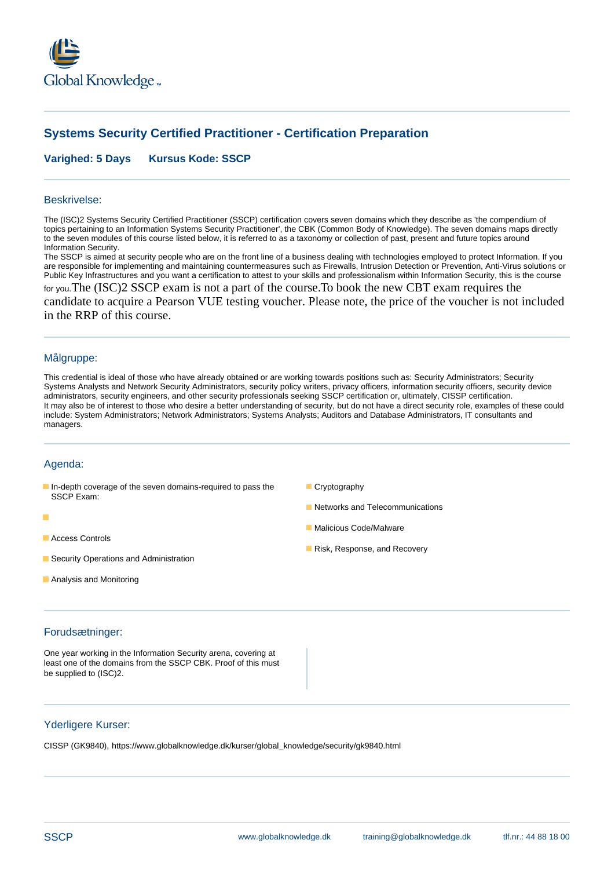

# **Systems Security Certified Practitioner - Certification Preparation**

### **Varighed: 5 Days Kursus Kode: SSCP**

#### Beskrivelse:

The (ISC)2 Systems Security Certified Practitioner (SSCP) certification covers seven domains which they describe as 'the compendium of topics pertaining to an Information Systems Security Practitioner', the CBK (Common Body of Knowledge). The seven domains maps directly to the seven modules of this course listed below, it is referred to as a taxonomy or collection of past, present and future topics around Information Security.

The SSCP is aimed at security people who are on the front line of a business dealing with technologies employed to protect Information. If you are responsible for implementing and maintaining countermeasures such as Firewalls, Intrusion Detection or Prevention, Anti-Virus solutions or Public Key Infrastructures and you want a certification to attest to your skills and professionalism within Information Security, this is the course for you.The (ISC)2 SSCP exam is not a part of the course.To book the new CBT exam requires the candidate to acquire a Pearson VUE testing voucher. Please note, the price of the voucher is not included in the RRP of this course.

### Målgruppe:

This credential is ideal of those who have already obtained or are working towards positions such as: Security Administrators; Security Systems Analysts and Network Security Administrators, security policy writers, privacy officers, information security officers, security device administrators, security engineers, and other security professionals seeking SSCP certification or, ultimately, CISSP certification. It may also be of interest to those who desire a better understanding of security, but do not have a direct security role, examples of these could include: System Administrators; Network Administrators; Systems Analysts; Auditors and Database Administrators, IT consultants and managers.

### Agenda:

- In-depth coverage of the seven domains-required to pass the Cryptography SSCP Exam:
- п
- **Access Controls**
- **Security Operations and Administration**
- **Analysis and Monitoring**
- 
- Networks and Telecommunications
- **Malicious Code/Malware**
- Risk, Response, and Recovery

#### Forudsætninger:

One year working in the Information Security arena, covering at least one of the domains from the SSCP CBK. Proof of this must be supplied to (ISC)2.

### Yderligere Kurser:

CISSP (GK9840), https://www.globalknowledge.dk/kurser/global\_knowledge/security/gk9840.html